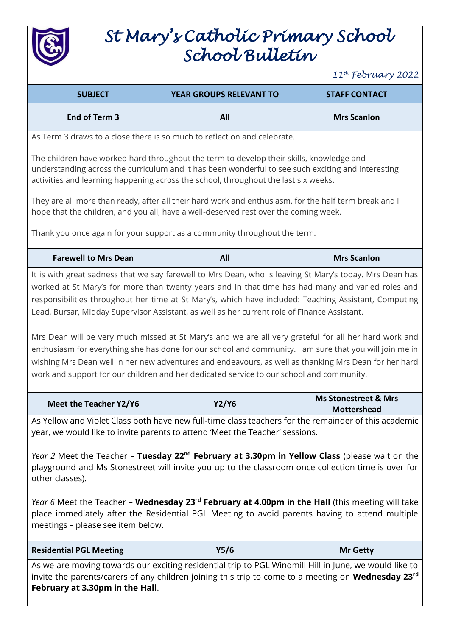

# *St Mary's Catholic Primary School School Bulletin*

*11th February 2022*

| $11^{th}$ February 2022                                                                                                                                                                                                                                                                                                                                                                                                                                                                                                                                                                                                                                                                                                                                                                                                                        |                                                                           |                                                       |
|------------------------------------------------------------------------------------------------------------------------------------------------------------------------------------------------------------------------------------------------------------------------------------------------------------------------------------------------------------------------------------------------------------------------------------------------------------------------------------------------------------------------------------------------------------------------------------------------------------------------------------------------------------------------------------------------------------------------------------------------------------------------------------------------------------------------------------------------|---------------------------------------------------------------------------|-------------------------------------------------------|
| <b>SUBJECT</b>                                                                                                                                                                                                                                                                                                                                                                                                                                                                                                                                                                                                                                                                                                                                                                                                                                 | <b>YEAR GROUPS RELEVANT TO</b>                                            | <b>STAFF CONTACT</b>                                  |
| End of Term 3                                                                                                                                                                                                                                                                                                                                                                                                                                                                                                                                                                                                                                                                                                                                                                                                                                  | All                                                                       | <b>Mrs Scanlon</b>                                    |
|                                                                                                                                                                                                                                                                                                                                                                                                                                                                                                                                                                                                                                                                                                                                                                                                                                                | As Term 3 draws to a close there is so much to reflect on and celebrate.  |                                                       |
| The children have worked hard throughout the term to develop their skills, knowledge and<br>understanding across the curriculum and it has been wonderful to see such exciting and interesting<br>activities and learning happening across the school, throughout the last six weeks.                                                                                                                                                                                                                                                                                                                                                                                                                                                                                                                                                          |                                                                           |                                                       |
| They are all more than ready, after all their hard work and enthusiasm, for the half term break and I<br>hope that the children, and you all, have a well-deserved rest over the coming week.                                                                                                                                                                                                                                                                                                                                                                                                                                                                                                                                                                                                                                                  |                                                                           |                                                       |
|                                                                                                                                                                                                                                                                                                                                                                                                                                                                                                                                                                                                                                                                                                                                                                                                                                                | Thank you once again for your support as a community throughout the term. |                                                       |
| <b>Farewell to Mrs Dean</b>                                                                                                                                                                                                                                                                                                                                                                                                                                                                                                                                                                                                                                                                                                                                                                                                                    | All                                                                       | <b>Mrs Scanlon</b>                                    |
| It is with great sadness that we say farewell to Mrs Dean, who is leaving St Mary's today. Mrs Dean has<br>worked at St Mary's for more than twenty years and in that time has had many and varied roles and<br>responsibilities throughout her time at St Mary's, which have included: Teaching Assistant, Computing<br>Lead, Bursar, Midday Supervisor Assistant, as well as her current role of Finance Assistant.<br>Mrs Dean will be very much missed at St Mary's and we are all very grateful for all her hard work and<br>enthusiasm for everything she has done for our school and community. I am sure that you will join me in<br>wishing Mrs Dean well in her new adventures and endeavours, as well as thanking Mrs Dean for her hard<br>work and support for our children and her dedicated service to our school and community. |                                                                           |                                                       |
| <b>Meet the Teacher Y2/Y6</b>                                                                                                                                                                                                                                                                                                                                                                                                                                                                                                                                                                                                                                                                                                                                                                                                                  | <b>Y2/Y6</b>                                                              | <b>Ms Stonestreet &amp; Mrs</b><br><b>Mottershead</b> |
| As Yellow and Violet Class both have new full-time class teachers for the remainder of this academic<br>year, we would like to invite parents to attend 'Meet the Teacher' sessions.<br>Year 2 Meet the Teacher - Tuesday $22^{nd}$ February at 3.30pm in Yellow Class (please wait on the<br>playground and Ms Stonestreet will invite you up to the classroom once collection time is over for<br>other classes).<br>Year 6 Meet the Teacher - Wednesday 23 <sup>rd</sup> February at 4.00pm in the Hall (this meeting will take<br>place immediately after the Residential PGL Meeting to avoid parents having to attend multiple<br>meetings - please see item below.                                                                                                                                                                      |                                                                           |                                                       |
| <b>Residential PGL Meeting</b>                                                                                                                                                                                                                                                                                                                                                                                                                                                                                                                                                                                                                                                                                                                                                                                                                 | Y5/6                                                                      | <b>Mr Getty</b>                                       |
| As we are moving towards our exciting residential trip to PGL Windmill Hill in June, we would like to<br>invite the parents/carers of any children joining this trip to come to a meeting on <b>Wednesday 23<sup>rd</sup></b><br>February at 3.30pm in the Hall.                                                                                                                                                                                                                                                                                                                                                                                                                                                                                                                                                                               |                                                                           |                                                       |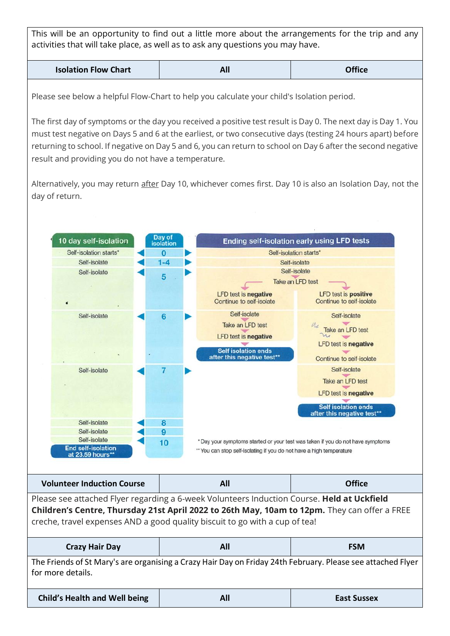This will be an opportunity to find out a little more about the arrangements for the trip and any activities that will take place, as well as to ask any questions you may have.

| AI. | <b>Isolation Flow Chart</b> |  | <b>Office</b> |
|-----|-----------------------------|--|---------------|
|-----|-----------------------------|--|---------------|

Please see below a helpful Flow-Chart to help you calculate your child's Isolation period.

The first day of symptoms or the day you received a positive test result is Day 0. The next day is Day 1. You must test negative on Days 5 and 6 at the earliest, or two consecutive days (testing 24 hours apart) before returning to school. If negative on Day 5 and 6, you can return to school on Day 6 after the second negative result and providing you do not have a temperature.

Alternatively, you may return after Day 10, whichever comes first. Day 10 is also an Isolation Day, not the day of return.

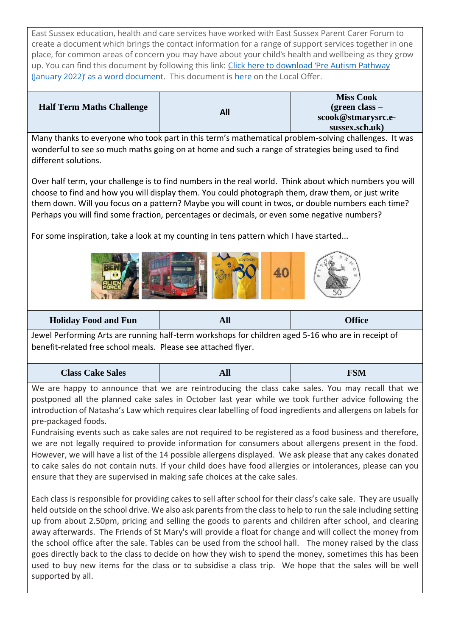East Sussex education, health and care services have worked with East Sussex Parent Carer Forum to create a document which brings the contact information for a range of support services together in one place, for common areas of concern you may have about your child's health and wellbeing as they grow up. You can find this document by following this link: [Click here to download 'Pre Autism Pathway](https://isend.eastsussex.gov.uk/assets/documents/Pre_Autism_Pathway_January_2022_Final.docx)  [\(January 2022\)' as a word document](https://isend.eastsussex.gov.uk/assets/documents/Pre_Autism_Pathway_January_2022_Final.docx). This document is [here](https://isend.eastsussex.gov.uk/does-my-child-have-send#WhenShouldISpeaktoSomeoneAboutMyChild) on the Local Offer.

|                                  |     | <b>Miss Cook</b>   |
|----------------------------------|-----|--------------------|
| <b>Half Term Maths Challenge</b> | All | (green class $-$   |
|                                  |     | scook@stmarysrc.e- |
|                                  |     | sussex.sch.uk)     |

Many thanks to everyone who took part in this term's mathematical problem-solving challenges. It was wonderful to see so much maths going on at home and such a range of strategies being used to find different solutions.

Over half term, your challenge is to find numbers in the real world. Think about which numbers you will choose to find and how you will display them. You could photograph them, draw them, or just write them down. Will you focus on a pattern? Maybe you will count in twos, or double numbers each time? Perhaps you will find some fraction, percentages or decimals, or even some negative numbers?

For some inspiration, take a look at my counting in tens pattern which I have started...



**Holiday Food and Fun All Office**

Jewel Performing Arts are running half-term workshops for children aged 5-16 who are in receipt of benefit-related free school meals. Please see attached flyer.

| <b>Class Cake Sales</b> | лш | <b>FSM</b> |
|-------------------------|----|------------|
|                         |    |            |

We are happy to announce that we are reintroducing the class cake sales. You may recall that we postponed all the planned cake sales in October last year while we took further advice following the introduction of Natasha's Law which requires clear labelling of food ingredients and allergens on labels for pre-packaged foods.

Fundraising events such as cake sales are not required to be registered as a food business and therefore, we are not legally required to provide information for consumers about allergens present in the food. However, we will have a list of the 14 possible allergens displayed. We ask please that any cakes donated to cake sales do not contain nuts. If your child does have food allergies or intolerances, please can you ensure that they are supervised in making safe choices at the cake sales.

Each class is responsible for providing cakes to sell after school for their class's cake sale. They are usually held outside on the school drive. We also ask parents from the class to help to run the sale including setting up from about 2.50pm, pricing and selling the goods to parents and children after school, and clearing away afterwards. The Friends of St Mary's will provide a float for change and will collect the money from the school office after the sale. Tables can be used from the school hall. The money raised by the class goes directly back to the class to decide on how they wish to spend the money, sometimes this has been used to buy new items for the class or to subsidise a class trip. We hope that the sales will be well supported by all.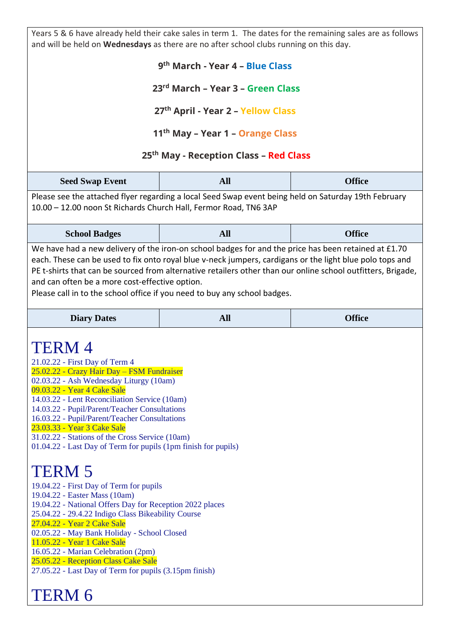Years 5 & 6 have already held their cake sales in term 1. The dates for the remaining sales are as follows and will be held on **Wednesdays** as there are no after school clubs running on this day.

#### **9 th March - Year 4 – Blue Class**

**23rd March – Year 3 – Green Class**

**27th April - Year 2 – Yellow Class**

**11th May – Year 1 – Orange Class**

### **25th May - Reception Class – Red Class**

| <b>Seed Swap Event</b> | All | <b>Office</b> |
|------------------------|-----|---------------|
|------------------------|-----|---------------|

Please see the attached flyer regarding a local Seed Swap event being held on Saturday 19th February 10.00 – 12.00 noon St Richards Church Hall, Fermor Road, TN6 3AP

| <b>School Badges</b> | All<br>---- | <b>Office</b> |
|----------------------|-------------|---------------|
|----------------------|-------------|---------------|

We have had a new delivery of the iron-on school badges for and the price has been retained at £1.70 each. These can be used to fix onto royal blue v-neck jumpers, cardigans or the light blue polo tops and PE t-shirts that can be sourced from alternative retailers other than our online school outfitters, Brigade, and can often be a more cost-effective option.

Please call in to the school office if you need to buy any school badges.

| <b>Diary Dates</b> | <b>All</b> | <b>Office</b> |
|--------------------|------------|---------------|
|--------------------|------------|---------------|

### TERM 4

- 21.02.22 First Day of Term 4
- 25.02.22 Crazy Hair Day FSM Fundraiser
- 02.03.22 Ash Wednesday Liturgy (10am)
- 09.03.22 Year 4 Cake Sale
- 14.03.22 Lent Reconciliation Service (10am)
- 14.03.22 Pupil/Parent/Teacher Consultations
- 16.03.22 Pupil/Parent/Teacher Consultations
- 23.03.33 Year 3 Cake Sale
- 31.02.22 Stations of the Cross Service (10am)
- 01.04.22 Last Day of Term for pupils (1pm finish for pupils)

## TERM 5

- 19.04.22 First Day of Term for pupils
- 19.04.22 Easter Mass (10am)
- 19.04.22 National Offers Day for Reception 2022 places
- 25.04.22 29.4.22 Indigo Class Bikeability Course
- 27.04.22 Year 2 Cake Sale
- 02.05.22 May Bank Holiday School Closed
- 11.05.22 Year 1 Cake Sale
- 16.05.22 Marian Celebration (2pm)
- 25.05.22 Reception Class Cake Sale
- 27.05.22 Last Day of Term for pupils (3.15pm finish)

## TERM 6